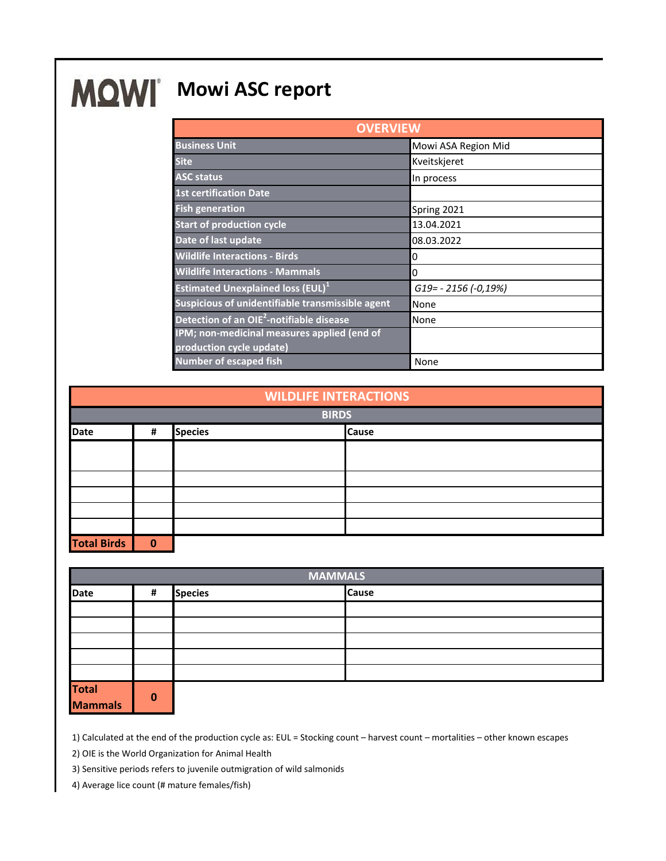## **MQWI** Mowi ASC report

| <b>OVERVIEW</b>                                      |                       |  |  |
|------------------------------------------------------|-----------------------|--|--|
| <b>Business Unit</b>                                 | Mowi ASA Region Mid   |  |  |
| <b>Site</b>                                          | Kveitskjeret          |  |  |
| <b>ASC status</b>                                    | In process            |  |  |
| <b>1st certification Date</b>                        |                       |  |  |
| <b>Fish generation</b>                               | Spring 2021           |  |  |
| <b>Start of production cycle</b>                     | 13.04.2021            |  |  |
| Date of last update                                  | 08.03.2022            |  |  |
| <b>Wildlife Interactions - Birds</b>                 | 0                     |  |  |
| <b>Wildlife Interactions - Mammals</b>               | 0                     |  |  |
| <b>Estimated Unexplained loss (EUL)</b> <sup>1</sup> | G19 = - 2156 (-0,19%) |  |  |
| Suspicious of unidentifiable transmissible agent     | None                  |  |  |
| Detection of an OIE <sup>2</sup> -notifiable disease | None                  |  |  |
| IPM; non-medicinal measures applied (end of          |                       |  |  |
| production cycle update)                             |                       |  |  |
| <b>Number of escaped fish</b>                        | None                  |  |  |

| <b>WILDLIFE INTERACTIONS</b> |   |                |  |              |  |
|------------------------------|---|----------------|--|--------------|--|
| <b>BIRDS</b>                 |   |                |  |              |  |
| <b>Date</b>                  | # | <b>Species</b> |  | <b>Cause</b> |  |
|                              |   |                |  |              |  |
|                              |   |                |  |              |  |
|                              |   |                |  |              |  |
|                              |   |                |  |              |  |
|                              |   |                |  |              |  |
|                              |   |                |  |              |  |
| <b>Total Birds</b>           | 0 |                |  |              |  |

| <b>MAMMALS</b>           |              |                |              |  |
|--------------------------|--------------|----------------|--------------|--|
| <b>Date</b>              | #            | <b>Species</b> | <b>Cause</b> |  |
|                          |              |                |              |  |
|                          |              |                |              |  |
|                          |              |                |              |  |
|                          |              |                |              |  |
|                          |              |                |              |  |
| <b>Total<br/>Mammals</b> | $\mathbf{0}$ |                |              |  |

1) Calculated at the end of the production cycle as: EUL = Stocking count – harvest count – mortalities – other known escapes

2) OIE is the World Organization for Animal Health

3) Sensitive periods refers to juvenile outmigration of wild salmonids

4) Average lice count (# mature females/fish)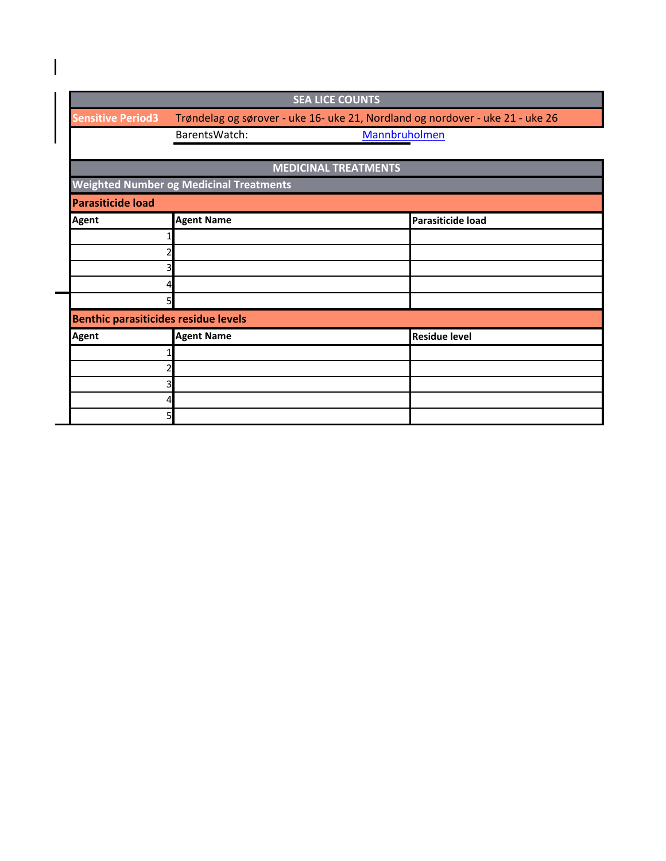| <b>SEA LICE COUNTS</b>                         |                                                                               |                          |  |  |  |  |
|------------------------------------------------|-------------------------------------------------------------------------------|--------------------------|--|--|--|--|
| <b>Sensitive Period3</b>                       | Trøndelag og sørover - uke 16- uke 21, Nordland og nordover - uke 21 - uke 26 |                          |  |  |  |  |
|                                                | Mannbruholmen<br>BarentsWatch:                                                |                          |  |  |  |  |
|                                                |                                                                               |                          |  |  |  |  |
| <b>MEDICINAL TREATMENTS</b>                    |                                                                               |                          |  |  |  |  |
| <b>Weighted Number og Medicinal Treatments</b> |                                                                               |                          |  |  |  |  |
| <b>Parasiticide load</b>                       |                                                                               |                          |  |  |  |  |
| <b>Agent</b>                                   | <b>Agent Name</b>                                                             | <b>Parasiticide load</b> |  |  |  |  |
|                                                |                                                                               |                          |  |  |  |  |
| 2                                              |                                                                               |                          |  |  |  |  |
| 3                                              |                                                                               |                          |  |  |  |  |
| 4                                              |                                                                               |                          |  |  |  |  |
| 5                                              |                                                                               |                          |  |  |  |  |
| <b>Benthic parasiticides residue levels</b>    |                                                                               |                          |  |  |  |  |
| <b>Agent</b>                                   | <b>Agent Name</b>                                                             | <b>Residue level</b>     |  |  |  |  |
|                                                |                                                                               |                          |  |  |  |  |
| 2                                              |                                                                               |                          |  |  |  |  |
| 3                                              |                                                                               |                          |  |  |  |  |
| 4                                              |                                                                               |                          |  |  |  |  |
| 5                                              |                                                                               |                          |  |  |  |  |